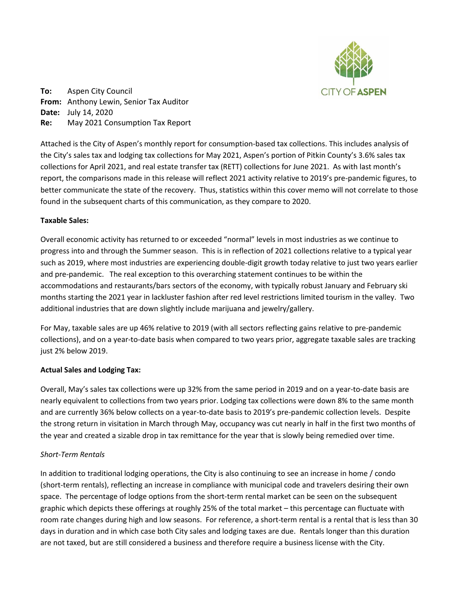

**To:** Aspen City Council **From:** Anthony Lewin, Senior Tax Auditor **Date:** July 14, 2020 **Re:** May 2021 Consumption Tax Report

Attached is the City of Aspen's monthly report for consumption-based tax collections. This includes analysis of the City's sales tax and lodging tax collections for May 2021, Aspen's portion of Pitkin County's 3.6% sales tax collections for April 2021, and real estate transfer tax (RETT) collections for June 2021. As with last month's report, the comparisons made in this release will reflect 2021 activity relative to 2019's pre-pandemic figures, to better communicate the state of the recovery. Thus, statistics within this cover memo will not correlate to those found in the subsequent charts of this communication, as they compare to 2020.

# **Taxable Sales:**

Overall economic activity has returned to or exceeded "normal" levels in most industries as we continue to progress into and through the Summer season. This is in reflection of 2021 collections relative to a typical year such as 2019, where most industries are experiencing double-digit growth today relative to just two years earlier and pre-pandemic. The real exception to this overarching statement continues to be within the accommodations and restaurants/bars sectors of the economy, with typically robust January and February ski months starting the 2021 year in lackluster fashion after red level restrictions limited tourism in the valley. Two additional industries that are down slightly include marijuana and jewelry/gallery.

For May, taxable sales are up 46% relative to 2019 (with all sectors reflecting gains relative to pre-pandemic collections), and on a year-to-date basis when compared to two years prior, aggregate taxable sales are tracking just 2% below 2019.

# **Actual Sales and Lodging Tax:**

Overall, May's sales tax collections were up 32% from the same period in 2019 and on a year-to-date basis are nearly equivalent to collections from two years prior. Lodging tax collections were down 8% to the same month and are currently 36% below collects on a year-to-date basis to 2019's pre-pandemic collection levels. Despite the strong return in visitation in March through May, occupancy was cut nearly in half in the first two months of the year and created a sizable drop in tax remittance for the year that is slowly being remedied over time.

# *Short-Term Rentals*

In addition to traditional lodging operations, the City is also continuing to see an increase in home / condo (short-term rentals), reflecting an increase in compliance with municipal code and travelers desiring their own space. The percentage of lodge options from the short-term rental market can be seen on the subsequent graphic which depicts these offerings at roughly 25% of the total market – this percentage can fluctuate with room rate changes during high and low seasons. For reference, a short-term rental is a rental that is less than 30 days in duration and in which case both City sales and lodging taxes are due. Rentals longer than this duration are not taxed, but are still considered a business and therefore require a business license with the City.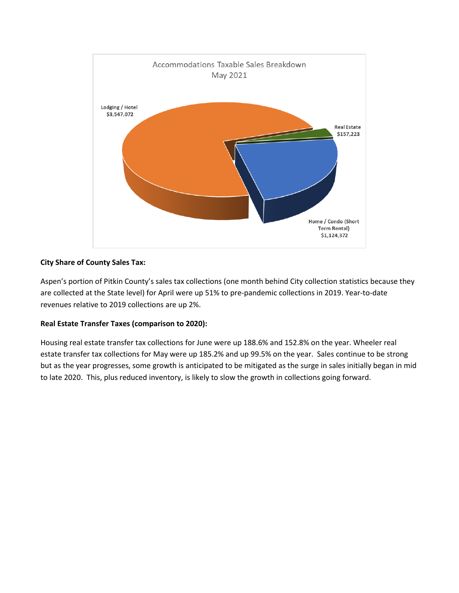

# **City Share of County Sales Tax:**

Aspen's portion of Pitkin County's sales tax collections (one month behind City collection statistics because they are collected at the State level) for April were up 51% to pre-pandemic collections in 2019. Year-to-date revenues relative to 2019 collections are up 2%.

# **Real Estate Transfer Taxes (comparison to 2020):**

Housing real estate transfer tax collections for June were up 188.6% and 152.8% on the year. Wheeler real estate transfer tax collections for May were up 185.2% and up 99.5% on the year. Sales continue to be strong but as the year progresses, some growth is anticipated to be mitigated as the surge in sales initially began in mid to late 2020. This, plus reduced inventory, is likely to slow the growth in collections going forward.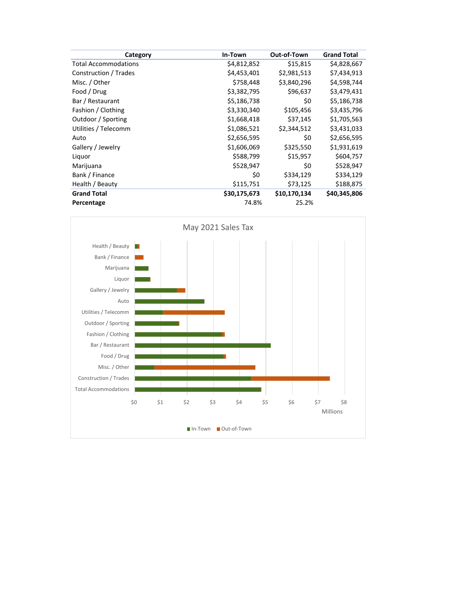| Category                    | In-Town      | Out-of-Town  | <b>Grand Total</b> |
|-----------------------------|--------------|--------------|--------------------|
| <b>Total Accommodations</b> | \$4,812,852  | \$15,815     | \$4,828,667        |
| Construction / Trades       | \$4,453,401  | \$2,981,513  | \$7,434,913        |
| Misc. / Other               | \$758,448    | \$3,840,296  | \$4,598,744        |
| Food / Drug                 | \$3,382,795  | \$96,637     | \$3,479,431        |
| Bar / Restaurant            | \$5,186,738  | \$0          | \$5,186,738        |
| Fashion / Clothing          | \$3,330,340  | \$105,456    | \$3,435,796        |
| Outdoor / Sporting          | \$1,668,418  | \$37,145     | \$1,705,563        |
| Utilities / Telecomm        | \$1,086,521  | \$2,344,512  | \$3,431,033        |
| Auto                        | \$2,656,595  | \$0          | \$2,656,595        |
| Gallery / Jewelry           | \$1,606,069  | \$325,550    | \$1,931,619        |
| Liquor                      | \$588,799    | \$15,957     | \$604,757          |
| Marijuana                   | \$528,947    | \$0          | \$528,947          |
| Bank / Finance              | \$0          | \$334,129    | \$334,129          |
| Health / Beauty             | \$115,751    | \$73,125     | \$188,875          |
| <b>Grand Total</b>          | \$30,175,673 | \$10,170,134 | \$40,345,806       |
| Percentage                  | 74.8%        | 25.2%        |                    |

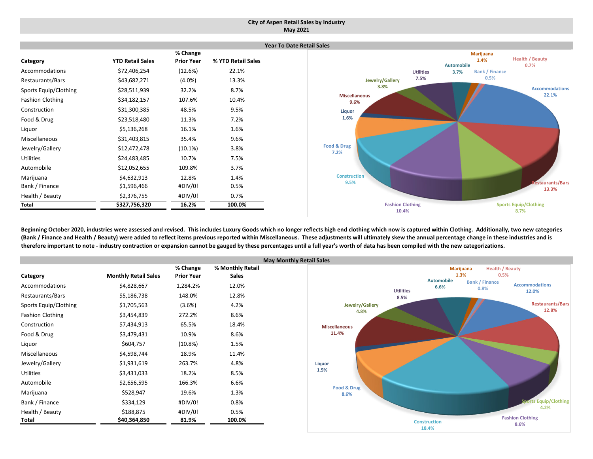### **City of Aspen Retail Sales by Industry May 2021**

|                         |                         |                   |                    | Ye |
|-------------------------|-------------------------|-------------------|--------------------|----|
|                         |                         | % Change          |                    |    |
| Category                | <b>YTD Retail Sales</b> | <b>Prior Year</b> | % YTD Retail Sales |    |
| Accommodations          | \$72,406,254            | (12.6%)           | 22.1%              |    |
| Restaurants/Bars        | \$43,682,271            | $(4.0\%)$         | 13.3%              |    |
| Sports Equip/Clothing   | \$28,511,939            | 32.2%             | 8.7%               |    |
| <b>Fashion Clothing</b> | \$34,182,157            | 107.6%            | 10.4%              |    |
| Construction            | \$31,300,385            | 48.5%             | 9.5%               |    |
| Food & Drug             | \$23,518,480            | 11.3%             | 7.2%               |    |
| Liquor                  | \$5,136,268             | 16.1%             | 1.6%               |    |
| Miscellaneous           | \$31,403,815            | 35.4%             | 9.6%               |    |
| Jewelry/Gallery         | \$12,472,478            | (10.1%)           | 3.8%               |    |
| <b>Utilities</b>        | \$24,483,485            | 10.7%             | 7.5%               |    |
| Automobile              | \$12,052,655            | 109.8%            | 3.7%               |    |
| Marijuana               | \$4,632,913             | 12.8%             | 1.4%               |    |
| Bank / Finance          | \$1,596,466             | #DIV/0!           | 0.5%               |    |
| Health / Beauty         | \$2,376,755             | #DIV/0!           | 0.7%               |    |
| Total                   | \$327,756,320           | 16.2%             | 100.0%             |    |



Beginning October 2020, industries were assessed and revised. This includes Luxury Goods which no longer reflects high end clothing which now is captured within Clothing. Additionally, two new categories (Bank / Finance and Health / Beauty) were added to reflect items previous reported within Miscellaneous. These adjustments will ultimately skew the annual percentage change in these industries and is therefore important to note - industry contraction or expansion cannot be gauged by these percentages until a full year's worth of data has been compiled with the new categorizations.

|                         |                             |                   | M                |
|-------------------------|-----------------------------|-------------------|------------------|
|                         |                             | % Change          | % Monthly Retail |
| Category                | <b>Monthly Retail Sales</b> | <b>Prior Year</b> | <b>Sales</b>     |
| Accommodations          | \$4,828,667                 | 1,284.2%          | 12.0%            |
| Restaurants/Bars        | \$5,186,738                 | 148.0%            | 12.8%            |
| Sports Equip/Clothing   | \$1,705,563                 | (3.6%)            | 4.2%             |
| <b>Fashion Clothing</b> | \$3,454,839                 | 272.2%            | 8.6%             |
| Construction            | \$7,434,913                 | 65.5%             | 18.4%            |
| Food & Drug             | \$3,479,431                 | 10.9%             | 8.6%             |
| Liquor                  | \$604,757                   | $(10.8\%)$        | 1.5%             |
| Miscellaneous           | \$4,598,744                 | 18.9%             | 11.4%            |
| Jewelry/Gallery         | \$1,931,619                 | 263.7%            | 4.8%             |
| <b>Utilities</b>        | \$3,431,033                 | 18.2%             | 8.5%             |
| Automobile              | \$2,656,595                 | 166.3%            | 6.6%             |
| Marijuana               | \$528,947                   | 19.6%             | 1.3%             |
| Bank / Finance          | \$334,129                   | #DIV/0!           | 0.8%             |
| Health / Beauty         | \$188,875                   | #DIV/0!           | 0.5%             |
| Total                   | \$40,364,850                | 81.9%             | 100.0%           |

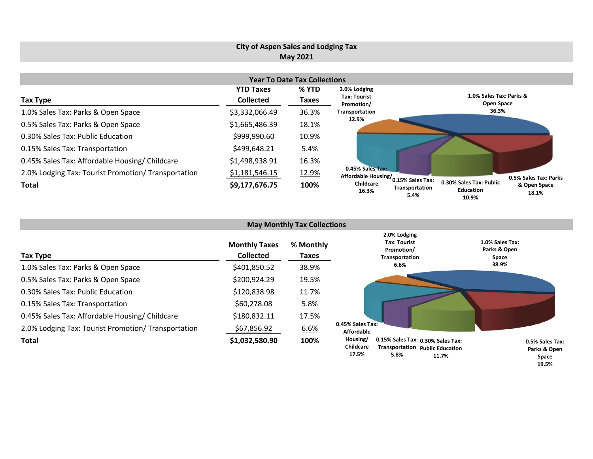# **City of Aspen Sales and Lodging Tax May 2021**

| <b>Year To Date Tax Collections</b>                 |                  |       |                                                             |                                                                                       |  |  |  |  |  |  |
|-----------------------------------------------------|------------------|-------|-------------------------------------------------------------|---------------------------------------------------------------------------------------|--|--|--|--|--|--|
|                                                     | <b>YTD Taxes</b> | % YTD | 2.0% Lodging                                                |                                                                                       |  |  |  |  |  |  |
| <b>Tax Type</b>                                     | <b>Collected</b> | Taxes | <b>Tax: Tourist</b><br>Promotion/                           | 1.0% Sales Tax: Parks &<br>Open Space                                                 |  |  |  |  |  |  |
| 1.0% Sales Tax: Parks & Open Space                  | \$3,332,066.49   | 36.3% | Transportation                                              | 36.3%                                                                                 |  |  |  |  |  |  |
| 0.5% Sales Tax: Parks & Open Space                  | \$1,665,486.39   | 18.1% | 12.9%                                                       |                                                                                       |  |  |  |  |  |  |
| 0.30% Sales Tax: Public Education                   | \$999,990.60     | 10.9% |                                                             |                                                                                       |  |  |  |  |  |  |
| 0.15% Sales Tax: Transportation                     | \$499,648.21     | 5.4%  |                                                             |                                                                                       |  |  |  |  |  |  |
| 0.45% Sales Tax: Affordable Housing/ Childcare      | \$1,498,938.91   | 16.3% |                                                             |                                                                                       |  |  |  |  |  |  |
| 2.0% Lodging Tax: Tourist Promotion/ Transportation | \$1,181,546.15   | 12.9% | 0.45% Sales Tax:<br>Affordable Housing/<br>0.15% Sales Tax: | 0.5% Sales Tax: Parks                                                                 |  |  |  |  |  |  |
| <b>Total</b>                                        | \$9,177,676.75   | 100%  | Childcare<br>Transportation<br>16.3%<br>5.4%                | 0.30% Sales Tax: Public<br>& Open Space<br><b>Education</b><br>18.1%<br>10.0 $\sigma$ |  |  |  |  |  |  |

| <b>May Monthly Tax Collections</b>                  |                                          |                    |                                                                                                                                |                                          |  |  |  |  |  |  |
|-----------------------------------------------------|------------------------------------------|--------------------|--------------------------------------------------------------------------------------------------------------------------------|------------------------------------------|--|--|--|--|--|--|
| <b>Tax Type</b>                                     | <b>Monthly Taxes</b><br><b>Collected</b> | % Monthly<br>Taxes | 2.0% Lodging<br><b>Tax: Tourist</b><br>Promotion/<br>Transportation                                                            | 1.0% Sales Tax:<br>Parks & Open<br>Space |  |  |  |  |  |  |
| 1.0% Sales Tax: Parks & Open Space                  | \$401,850.52                             | 38.9%              | 6.6%                                                                                                                           | 38.9%                                    |  |  |  |  |  |  |
| 0.5% Sales Tax: Parks & Open Space                  | \$200,924.29                             | 19.5%              |                                                                                                                                |                                          |  |  |  |  |  |  |
| 0.30% Sales Tax: Public Education                   | \$120,838.98                             | 11.7%              |                                                                                                                                |                                          |  |  |  |  |  |  |
| 0.15% Sales Tax: Transportation                     | \$60,278.08                              | 5.8%               |                                                                                                                                |                                          |  |  |  |  |  |  |
| 0.45% Sales Tax: Affordable Housing/ Childcare      | \$180,832.11                             | 17.5%              |                                                                                                                                |                                          |  |  |  |  |  |  |
| 2.0% Lodging Tax: Tourist Promotion/ Transportation | \$67,856.92                              | 6.6%               | 0.45% Sales Tax:<br><b>Affordable</b>                                                                                          |                                          |  |  |  |  |  |  |
| <b>Total</b>                                        | \$1,032,580.90                           | 100%               | 0.15% Sales Tax: 0.30% Sales Tax:<br>Housing/<br><b>Childcare</b><br>Transportation Public Education<br>17.5%<br>5.8%<br>11.7% | 0.5% Sales Tax:<br>Parks & Open<br>Snare |  |  |  |  |  |  |

**Space 19.5%**

**10.9%**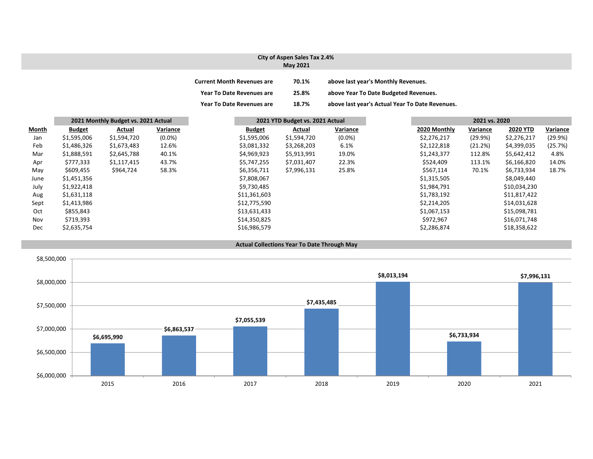#### **City of Aspen Sales Tax 2.4% May 2021 Current Month Revenues are 70.1% above last year's Monthly Revenues. Year To Date Revenues are 25.8% above Year To Date Budgeted Revenues. Year ToDate Revenues are 18.7% above last year's Actual Year To Date Revenues.**

|       | 2021 Monthly Budget vs. 2021 Actual |             |           |  | 2021 YTD Budget vs. 2021 Actual |             |           | 2021 vs. 2020 |          |                 |          |
|-------|-------------------------------------|-------------|-----------|--|---------------------------------|-------------|-----------|---------------|----------|-----------------|----------|
| Month | <b>Budget</b>                       | Actual      | Variance  |  | <b>Budget</b>                   | Actual      | Variance  | 2020 Monthly  | Variance | <b>2020 YTD</b> | Variance |
| Jan   | \$1,595,006                         | \$1,594,720 | $(0.0\%)$ |  | \$1,595,006                     | \$1,594,720 | $(0.0\%)$ | \$2,276,217   | (29.9%)  | \$2,276,217     | (29.9%)  |
| Feb   | \$1,486,326                         | \$1,673,483 | 12.6%     |  | \$3,081,332                     | \$3,268,203 | 6.1%      | \$2,122,818   | (21.2%)  | \$4,399,035     | (25.7%)  |
| Mar   | \$1,888,591                         | \$2,645,788 | 40.1%     |  | \$4,969,923                     | \$5,913,991 | 19.0%     | \$1,243,377   | 112.8%   | \$5,642,412     | 4.8%     |
| Apr   | \$777,333                           | \$1,117,415 | 43.7%     |  | \$5,747,255                     | \$7,031,407 | 22.3%     | \$524,409     | 113.1%   | \$6,166,820     | 14.0%    |
| May   | \$609,455                           | \$964,724   | 58.3%     |  | \$6,356,711                     | \$7,996,131 | 25.8%     | \$567,114     | 70.1%    | \$6,733,934     | 18.7%    |
| June  | \$1,451,356                         |             |           |  | \$7,808,067                     |             |           | \$1,315,505   |          | \$8,049,440     |          |
| July  | \$1,922,418                         |             |           |  | \$9,730,485                     |             |           | \$1,984,791   |          | \$10,034,230    |          |
| Aug   | \$1,631,118                         |             |           |  | \$11,361,603                    |             |           | \$1,783,192   |          | \$11,817,422    |          |
| Sept  | \$1,413,986                         |             |           |  | \$12,775,590                    |             |           | \$2,214,205   |          | \$14,031,628    |          |
| Oct   | \$855,843                           |             |           |  | \$13,631,433                    |             |           | \$1,067,153   |          | \$15,098,781    |          |
| Nov   | \$719,393                           |             |           |  | \$14,350,825                    |             |           | \$972,967     |          | \$16,071,748    |          |
| Dec   | \$2,635,754                         |             |           |  | \$16,986,579                    |             |           | \$2,286,874   |          | \$18,358,622    |          |



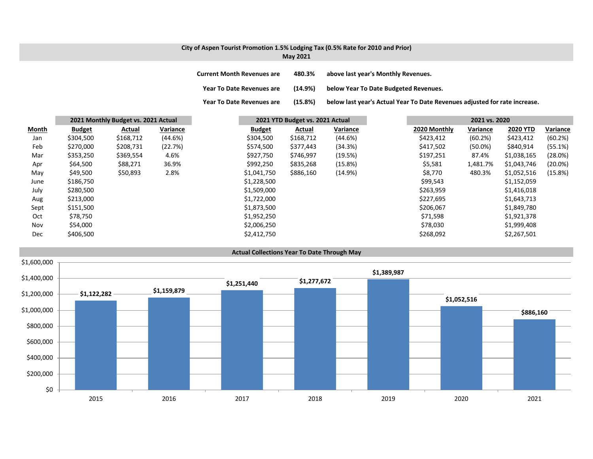### **City of Aspen Tourist Promotion 1.5% Lodging Tax (0.5% Rate for 2010 and Prior) May 2021**

**Year To**

| <b>Current Month Revenues are</b> | 480.3%  | above last year's Monthly Revenues.   |
|-----------------------------------|---------|---------------------------------------|
| <b>Year To Date Revenues are</b>  | (14.9%) | below Year To Date Budgeted Revenues. |

(15.8%) below last year's Actual Year To Date Revenues adjusted for rate increase.

|              |               | 2021 Monthly Budget vs. 2021 Actual |          | 2021 YTD Budget vs. 2021 Actual |           |          | 2021 vs. 2020 |              |            |                 |            |
|--------------|---------------|-------------------------------------|----------|---------------------------------|-----------|----------|---------------|--------------|------------|-----------------|------------|
| <b>Month</b> | <b>Budget</b> | Actual                              | Variance | <b>Budget</b>                   | Actual    | Variance |               | 2020 Monthly | Variance   | <b>2020 YTD</b> | Variance   |
| Jan          | \$304,500     | \$168,712                           | (44.6%)  | \$304,500                       | \$168,712 | (44.6%)  |               | \$423,412    | (60.2%)    | \$423,412       | (60.2%)    |
| Feb          | \$270,000     | \$208,731                           | (22.7%)  | \$574,500                       | \$377,443 | (34.3%)  |               | \$417,502    | $(50.0\%)$ | \$840,914       | (55.1%)    |
| Mar          | \$353,250     | \$369,554                           | 4.6%     | \$927,750                       | \$746,997 | (19.5%)  |               | \$197,251    | 87.4%      | \$1,038,165     | (28.0%)    |
| Apr          | \$64,500      | \$88,271                            | 36.9%    | \$992,250                       | \$835,268 | (15.8%)  |               | \$5,581      | 1,481.7%   | \$1,043,746     | $(20.0\%)$ |
| May          | \$49,500      | \$50,893                            | 2.8%     | \$1,041,750                     | \$886,160 | (14.9%)  |               | \$8,770      | 480.3%     | \$1,052,516     | (15.8%)    |
| June         | \$186,750     |                                     |          | \$1,228,500                     |           |          |               | \$99,543     |            | \$1,152,059     |            |
| July         | \$280,500     |                                     |          | \$1,509,000                     |           |          |               | \$263,959    |            | \$1,416,018     |            |
| Aug          | \$213,000     |                                     |          | \$1,722,000                     |           |          |               | \$227,695    |            | \$1,643,713     |            |
| Sept         | \$151,500     |                                     |          | \$1,873,500                     |           |          |               | \$206,067    |            | \$1,849,780     |            |
| Oct          | \$78,750      |                                     |          | \$1,952,250                     |           |          |               | \$71,598     |            | \$1,921,378     |            |
| Nov          | \$54,000      |                                     |          | \$2,006,250                     |           |          |               | \$78,030     |            | \$1,999,408     |            |
| Dec          | \$406,500     |                                     |          | \$2,412,750                     |           |          |               | \$268,092    |            | \$2,267,501     |            |

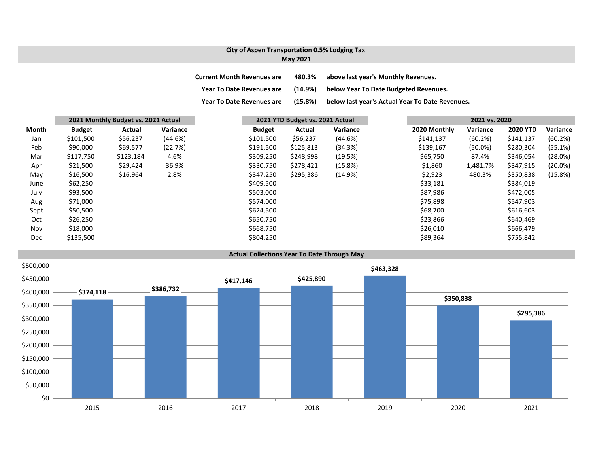## **City of Aspen Transportation 0.5% Lodging Tax May 2021**

| <b>Current Month Revenues are</b> | 480.3%  | above last year's Monthly Revenues.             |
|-----------------------------------|---------|-------------------------------------------------|
| <b>Year To Date Revenues are</b>  | (14.9%) | below Year To Date Budgeted Revenues.           |
| <b>Year To Date Revenues are</b>  | (15.8%) | below last year's Actual Year To Date Revenues. |

|              |               | 2021 Monthly Budget vs. 2021 Actual |          |               | 2021 YTD Budget vs. 2021 Actual |          |  |              | 2021 vs. 2020 |                 |            |  |  |
|--------------|---------------|-------------------------------------|----------|---------------|---------------------------------|----------|--|--------------|---------------|-----------------|------------|--|--|
| <b>Month</b> | <b>Budget</b> | Actual                              | Variance | <b>Budget</b> | Actual                          | Variance |  | 2020 Monthly | Variance      | <b>2020 YTD</b> | Variance   |  |  |
| Jan          | \$101,500     | \$56,237                            | (44.6%)  | \$101,500     | \$56,237                        | (44.6%)  |  | \$141,137    | (60.2%)       | \$141,137       | (60.2%)    |  |  |
| Feb          | \$90,000      | \$69,577                            | (22.7%)  | \$191,500     | \$125,813                       | (34.3%)  |  | \$139,167    | $(50.0\%)$    | \$280,304       | (55.1%)    |  |  |
| Mar          | \$117,750     | \$123,184                           | 4.6%     | \$309,250     | \$248,998                       | (19.5%)  |  | \$65,750     | 87.4%         | \$346,054       | (28.0%)    |  |  |
| Apr          | \$21,500      | \$29,424                            | 36.9%    | \$330,750     | \$278,421                       | (15.8%)  |  | \$1,860      | 1,481.7%      | \$347,915       | $(20.0\%)$ |  |  |
| May          | \$16,500      | \$16,964                            | 2.8%     | \$347,250     | \$295,386                       | (14.9%)  |  | \$2,923      | 480.3%        | \$350,838       | (15.8%)    |  |  |
| June         | \$62,250      |                                     |          | \$409,500     |                                 |          |  | \$33,181     |               | \$384,019       |            |  |  |
| July         | \$93,500      |                                     |          | \$503,000     |                                 |          |  | \$87,986     |               | \$472,005       |            |  |  |
| Aug          | \$71,000      |                                     |          | \$574,000     |                                 |          |  | \$75,898     |               | \$547,903       |            |  |  |
| Sept         | \$50,500      |                                     |          | \$624,500     |                                 |          |  | \$68,700     |               | \$616,603       |            |  |  |
| Oct          | \$26,250      |                                     |          | \$650,750     |                                 |          |  | \$23,866     |               | \$640,469       |            |  |  |
| Nov          | \$18,000      |                                     |          | \$668,750     |                                 |          |  | \$26,010     |               | \$666,479       |            |  |  |
| Dec          | \$135,500     |                                     |          | \$804,250     |                                 |          |  | \$89,364     |               | \$755,842       |            |  |  |

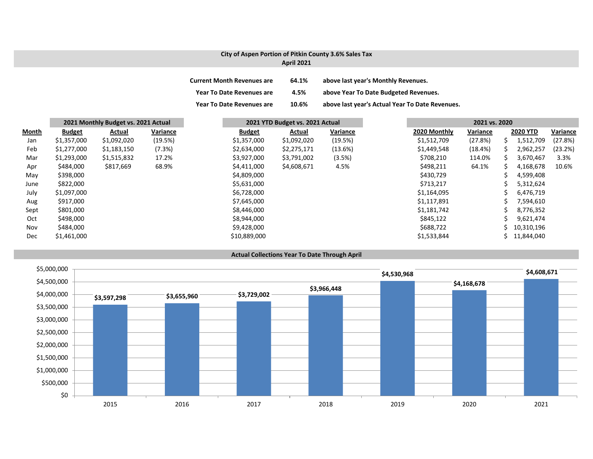### **City of Aspen Portion of Pitkin County 3.6% Sales Tax April 2021**

| <b>Current Month Revenues are</b> | 64.1% | above last year's Monthly Revenues.             |
|-----------------------------------|-------|-------------------------------------------------|
| <b>Year To Date Revenues are</b>  | 4.5%  | above Year To Date Budgeted Revenues.           |
| <b>Year To Date Revenues are</b>  | 10.6% | above last year's Actual Year To Date Revenues. |

|       | 2021 Monthly Budget vs. 2021 Actual |             |          | 2021 YTD Budget vs. 2021 Actual |             |          |              | 2021 vs. 2020 |    |                 |          |
|-------|-------------------------------------|-------------|----------|---------------------------------|-------------|----------|--------------|---------------|----|-----------------|----------|
| Month | <b>Budget</b>                       | Actual      | Variance | <b>Budget</b>                   | Actual      | Variance | 2020 Monthly | Variance      |    | <b>2020 YTD</b> | Variance |
| Jan   | \$1,357,000                         | \$1,092,020 | (19.5%)  | \$1,357,000                     | \$1,092,020 | (19.5%)  | \$1,512,709  | (27.8%)       | ↘  | 1,512,709       | (27.8%)  |
| Feb   | \$1,277,000                         | \$1,183,150 | (7.3%)   | \$2,634,000                     | \$2,275,171 | (13.6%)  | \$1,449,548  | (18.4%)       | ╰  | 2,962,257       | (23.2%)  |
| Mar   | \$1,293,000                         | \$1,515,832 | 17.2%    | \$3,927,000                     | \$3,791,002 | (3.5%)   | \$708,210    | 114.0%        | S. | 3,670,467       | 3.3%     |
| Apr   | \$484,000                           | \$817,669   | 68.9%    | \$4,411,000                     | \$4,608,671 | 4.5%     | \$498,211    | 64.1%         |    | 4,168,678       | 10.6%    |
| May   | \$398,000                           |             |          | \$4,809,000                     |             |          | \$430,729    |               |    | 4,599,408       |          |
| June  | \$822,000                           |             |          | \$5,631,000                     |             |          | \$713,217    |               |    | 5,312,624       |          |
| July  | \$1,097,000                         |             |          | \$6,728,000                     |             |          | \$1,164,095  |               |    | 6,476,719       |          |
| Aug   | \$917,000                           |             |          | \$7,645,000                     |             |          | \$1,117,891  |               |    | 7,594,610       |          |
| Sept  | \$801,000                           |             |          | \$8,446,000                     |             |          | \$1,181,742  |               |    | 8,776,352       |          |
| Oct   | \$498,000                           |             |          | \$8,944,000                     |             |          | \$845,122    |               |    | 9,621,474       |          |
| Nov   | \$484,000                           |             |          | \$9,428,000                     |             |          | \$688,722    |               |    | 10,310,196      |          |
| Dec   | \$1,461,000                         |             |          | \$10,889,000                    |             |          | \$1,533,844  |               |    | 11,844,040      |          |

#### **Actual Collections Year To Date Through April**

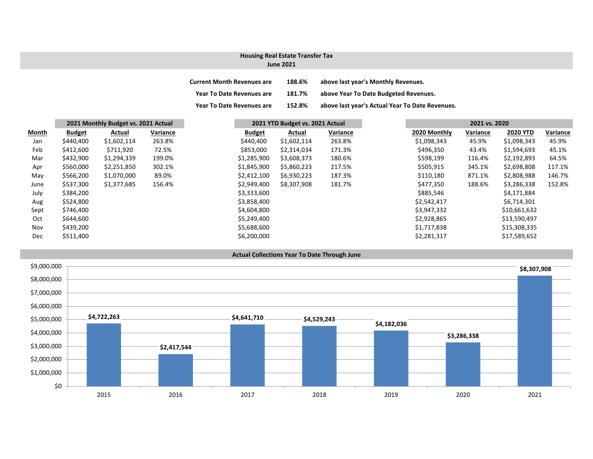# **Housing Real Estate Transfer Tax**

#### **June 2021**

| <b>Current Month Revenues are</b> | 188.6% | above last year's Monthly Revenues.             |
|-----------------------------------|--------|-------------------------------------------------|
| Year To Date Revenues are         | 181.7% | above Year To Date Budgeted Revenues.           |
| <b>Year To Date Revenues are</b>  | 152.8% | above last year's Actual Year To Date Revenues. |

| <b>Month</b> | 2021 Monthly Budget vs. 2021 Actual |             |          | 2021 YTD Budget vs. 2021 Actual |             |          |              | 2021 vs. 2020 |                 |  |
|--------------|-------------------------------------|-------------|----------|---------------------------------|-------------|----------|--------------|---------------|-----------------|--|
|              | <b>Budget</b>                       | Actual      | Variance | <b>Budget</b>                   | Actual      | Variance | 2020 Monthly | Variance      | <b>2020 YTD</b> |  |
| Jan          | \$440,400                           | \$1,602,114 | 263.8%   | \$440,400                       | \$1,602,114 | 263.8%   | \$1,098,343  | 45.9%         | \$1,098,343     |  |
| Feb          | \$412,600                           | \$711,920   | 72.5%    | \$853,000                       | \$2,314,034 | 171.3%   | \$496,350    | 43.4%         | \$1,594,693     |  |
| Mar          | \$432,900                           | \$1,294,339 | 199.0%   | \$1,285,900                     | \$3,608,373 | 180.6%   | \$598,199    | 116.4%        | \$2,192,893     |  |
| Apr          | \$560,000                           | \$2,251,850 | 302.1%   | \$1,845,900                     | \$5,860,223 | 217.5%   | \$505,915    | 345.1%        | \$2,698,808     |  |
| May          | \$566,200                           | \$1,070,000 | 89.0%    | \$2,412,100                     | \$6,930,223 | 187.3%   | \$110,180    | 871.1%        | \$2,808,988     |  |
| June         | \$537,300                           | \$1,377,685 | 156.4%   | \$2,949,400                     | \$8,307,908 | 181.7%   | \$477,350    | 188.6%        | \$3,286,338     |  |
| July         | \$384,200                           |             |          | \$3,333,600                     |             |          | \$885,546    |               | \$4,171,884     |  |
| Aug          | \$524,800                           |             |          | \$3,858,400                     |             |          | \$2,542,417  |               | \$6,714,301     |  |
| Sept         | \$746,400                           |             |          | \$4,604,800                     |             |          | \$3,947,332  |               | \$10,661,632    |  |
| Oct          | \$644,600                           |             |          | \$5,249,400                     |             |          | \$2,928,865  |               | \$13,590,497    |  |
| Nov          | \$439,200                           |             |          | \$5,688,600                     |             |          | \$1,717,838  |               | \$15,308,335    |  |
| Dec          | \$511,400                           |             |          | \$6,200,000                     |             |          | \$2,281,317  |               | \$17,589,652    |  |
|              |                                     |             |          |                                 |             |          |              |               |                 |  |